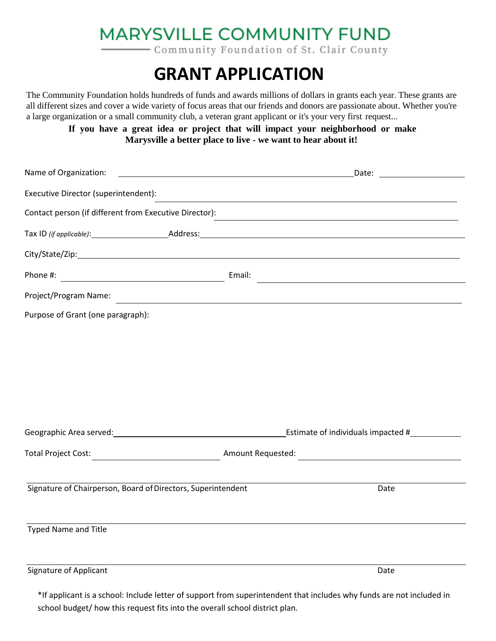## **MARYSVILLE COMMUNITY FUND**

- Community Foundation of St. Clair County

## **GRANT APPLICATION**

The Community Foundation holds hundreds of funds and awards millions of dollars in grants each year. These grants are all different sizes and cover a wide variety of focus areas that our friends and donors are passionate about. Whether you're a large organization or a small community club, a veteran grant applicant or it's your very first request...

**If you have a great idea or project that will impact your neighborhood or make Marysville a better place to live - we want to hear about it!**

| Name of Organization:                                        |        | Date: <u>_______________________</u><br><u> 1989 - Andrea Stadt Britain, amerikansk politiker (</u>                                                                                                                           |
|--------------------------------------------------------------|--------|-------------------------------------------------------------------------------------------------------------------------------------------------------------------------------------------------------------------------------|
| Executive Director (superintendent):                         |        |                                                                                                                                                                                                                               |
| Contact person (if different from Executive Director):       |        | <u> 1989 - Johann Stoff, amerikansk politiker (d. 1989)</u>                                                                                                                                                                   |
|                                                              |        |                                                                                                                                                                                                                               |
|                                                              |        |                                                                                                                                                                                                                               |
|                                                              | Email: | the control of the control of the control of the control of the control of the control of the control of the control of the control of the control of the control of the control of the control of the control of the control |
| Project/Program Name:                                        |        | <u> 1989 - Johann Stoff, amerikansk politiker (d. 1989)</u>                                                                                                                                                                   |
| Purpose of Grant (one paragraph):                            |        |                                                                                                                                                                                                                               |
|                                                              |        |                                                                                                                                                                                                                               |
|                                                              |        |                                                                                                                                                                                                                               |
|                                                              |        |                                                                                                                                                                                                                               |
|                                                              |        |                                                                                                                                                                                                                               |
|                                                              |        |                                                                                                                                                                                                                               |
|                                                              |        |                                                                                                                                                                                                                               |
|                                                              |        |                                                                                                                                                                                                                               |
| Signature of Chairperson, Board of Directors, Superintendent |        | Date                                                                                                                                                                                                                          |
|                                                              |        |                                                                                                                                                                                                                               |
| Typed Name and Title                                         |        |                                                                                                                                                                                                                               |
|                                                              |        |                                                                                                                                                                                                                               |
| <b>Signature of Applicant</b>                                |        | Date                                                                                                                                                                                                                          |

\*If applicant is a school: Include letter of support from superintendent that includes why funds are not included in school budget/ how this request fits into the overall school district plan.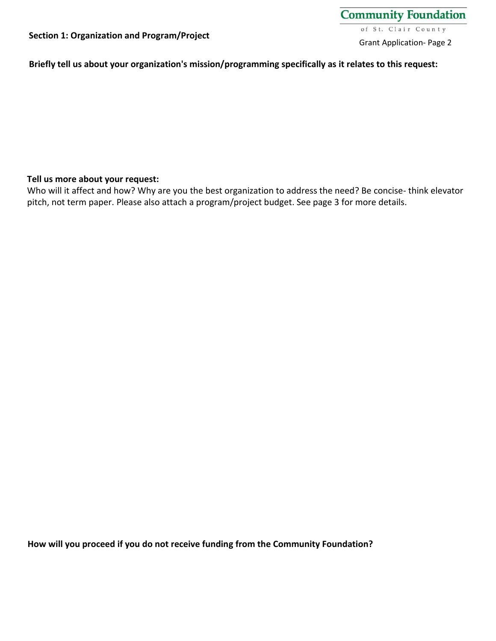**Briefly tell us about your organization's mission/programming specifically as it relates to this request:**

#### **Tell us more about your request:**

Who will it affect and how? Why are you the best organization to address the need? Be concise- think elevator pitch, not term paper. Please also attach a program/project budget. See page 3 for more details.

**How will you proceed if you do not receive funding from the Community Foundation?**